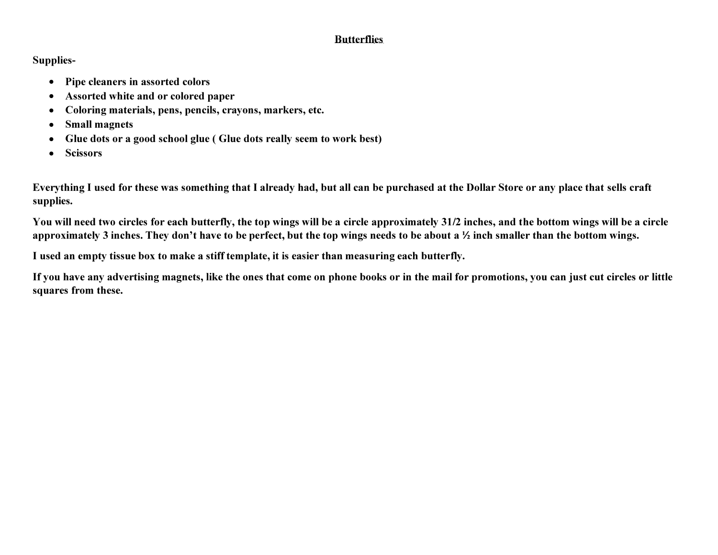## **Butterflies**

## **Supplies-**

- **Pipe cleaners in assorted colors**
- **Assorted white and or colored paper**
- **Coloring materials, pens, pencils, crayons, markers, etc.**
- **Small magnets**
- **Glue dots or a good school glue ( Glue dots really seem to work best)**
- **Scissors**

**Everything I used for these was something that I already had, but all can be purchased at the Dollar Store or any place that sells craft supplies.** 

**You will need two circles for each butterfly, the top wings will be a circle approximately 31/2 inches, and the bottom wings will be a circle approximately 3 inches. They don't have to be perfect, but the top wings needs to be about a½ inch smaller than the bottom wings.** 

**I used an empty tissue box to make a stiff template, it is easier than measuring each butterfly.** 

**If you have any advertising magnets, like the ones that come on phone books or in the mail for promotions, you can just cut circles or little squares from these.**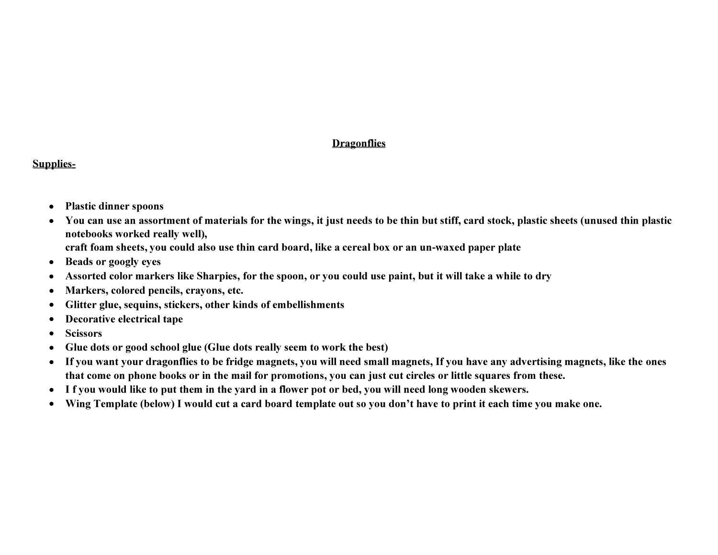## **Dragonflies**

## **Supplies-**

- **Plastic dinner spoons**
- **You can use an assortment of materials for the wings, it just needs to be thin but stiff, card stock, plastic sheets (unused thin plastic notebooks worked really well), craft foam sheets, you could also use thin card board, like a cereal box or an un-waxed paper plate**
- **Beads or googly eyes**
- **Assorted color markers like Sharpies, for the spoon, or you could use paint, but it will take a while to dry**
- **Markers, colored pencils, crayons, etc.**
- **Glitter glue, sequins, stickers, other kinds of embellishments**
- **Decorative electrical tape**
- **Scissors**
- **Glue dots or good school glue (Glue dots really seem to work the best)**
- **If you want your dragonflies to be fridge magnets, you will need small magnets, If you have any advertising magnets, like the ones that come on phone books or in the mail for promotions, you can just cut circles or little squares from these.**
- **I f you would like to put them in the yard in a flower pot or bed, you will need long wooden skewers.**
- **Wing Template (below) I would cut a card board template out so you don't have to print it each time you make one.**